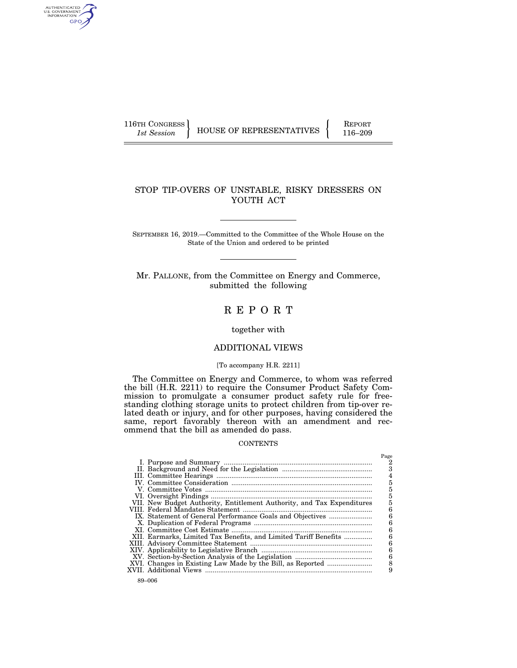AUTHENTICATED<br>U.S. GOVERNMENT<br>INFORMATION GPO

116TH CONGRESS HOUSE OF REPRESENTATIVES FEPORT 116–209

 $P<sub>200</sub>$ 

# STOP TIP-OVERS OF UNSTABLE, RISKY DRESSERS ON YOUTH ACT

SEPTEMBER 16, 2019.—Committed to the Committee of the Whole House on the State of the Union and ordered to be printed

Mr. PALLONE, from the Committee on Energy and Commerce, submitted the following

# R E P O R T

## together with

# ADDITIONAL VIEWS

## [To accompany H.R. 2211]

The Committee on Energy and Commerce, to whom was referred the bill (H.R. 2211) to require the Consumer Product Safety Commission to promulgate a consumer product safety rule for freestanding clothing storage units to protect children from tip-over related death or injury, and for other purposes, having considered the same, report favorably thereon with an amendment and recommend that the bill as amended do pass.

#### **CONTENTS**

|                                                                        | 4 |
|------------------------------------------------------------------------|---|
|                                                                        |   |
|                                                                        |   |
|                                                                        |   |
| VII. New Budget Authority, Entitlement Authority, and Tax Expenditures |   |
|                                                                        |   |
| IX. Statement of General Performance Goals and Objectives              |   |
|                                                                        | 6 |
|                                                                        |   |
| XII. Earmarks, Limited Tax Benefits, and Limited Tariff Benefits       |   |
|                                                                        |   |
|                                                                        |   |
|                                                                        | 6 |
|                                                                        |   |
|                                                                        |   |
|                                                                        |   |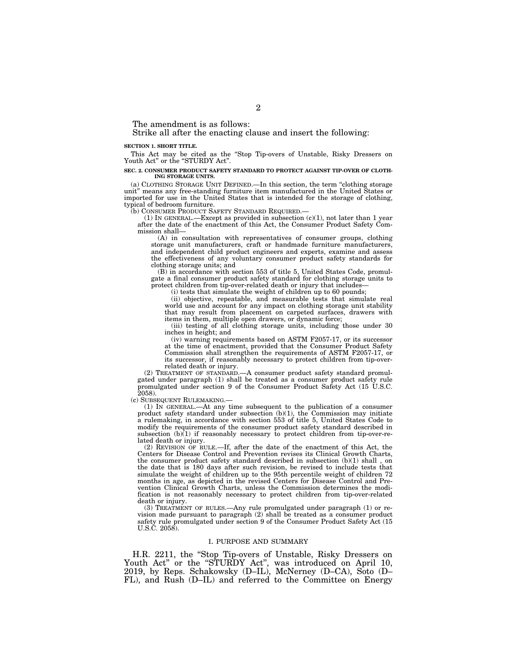The amendment is as follows:

Strike all after the enacting clause and insert the following:

#### **SECTION 1. SHORT TITLE.**

This Act may be cited as the ''Stop Tip-overs of Unstable, Risky Dressers on Youth Act'' or the ''STURDY Act''.

#### **SEC. 2. CONSUMER PRODUCT SAFETY STANDARD TO PROTECT AGAINST TIP-OVER OF CLOTH-ING STORAGE UNITS.**

(a) CLOTHING STORAGE UNIT DEFINED.—In this section, the term ''clothing storage unit'' means any free-standing furniture item manufactured in the United States or imported for use in the United States that is intended for the storage of clothing, typical of bedroom furniture.

(b) CONSUMER PRODUCT SAFETY STANDARD REQUIRED.—

(1) IN GENERAL.—Except as provided in subsection  $(c)(1)$ , not later than 1 year after the date of the enactment of this Act, the Consumer Product Safety Commission shall—

(A) in consultation with representatives of consumer groups, clothing storage unit manufacturers, craft or handmade furniture manufacturers, and independent child product engineers and experts, examine and assess the effectiveness of any voluntary consumer product safety standards for clothing storage units; and

(B) in accordance with section 553 of title 5, United States Code, promulgate a final consumer product safety standard for clothing storage units to protect children from tip-over-related death or injury that includes—

(i) tests that simulate the weight of children up to 60 pounds;

(ii) objective, repeatable, and measurable tests that simulate real world use and account for any impact on clothing storage unit stability that may result from placement on carpeted surfaces, drawers with items in them, multiple open drawers, or dynamic force;

(iii) testing of all clothing storage units, including those under 30 inches in height; and

(iv) warning requirements based on ASTM F2057-17, or its successor at the time of enactment, provided that the Consumer Product Safety Commission shall strengthen the requirements of ASTM F2057-17, or its successor, if reasonably necessary to protect children from tip-overrelated death or injury.

(2) TREATMENT OF STANDARD.—A consumer product safety standard promulgated under paragraph (1) shall be treated as a consumer product safety rule promulgated under section 9 of the Consumer Product Safety Act (15 U.S.C. 2058).

(c) SUBSEQUENT RULEMAKING.—

(1) IN GENERAL.—At any time subsequent to the publication of a consumer product safety standard under subsection  $(b)(1)$ , the Commission may initiate a rulemaking, in accordance with section 553 of title 5, United States Code to modify the requirements of the consumer product safety standard described in subsection (b)(1) if reasonably necessary to protect children from tip-over-related death or injury.

(2) REVISION OF RULE.—If, after the date of the enactment of this Act, the Centers for Disease Control and Prevention revises its Clinical Growth Charts, the consumer product safety standard described in subsection  $(b)(1)$  shall, on the date that is 180 days after such revision, be revised to include tests that simulate the weight of children up to the 95th percentile weight of children 72 months in age, as depicted in the revised Centers for Disease Control and Prevention Clinical Growth Charts, unless the Commission determines the modification is not reasonably necessary to protect children from tip-over-related death or injury.

(3) TREATMENT OF RULES.—Any rule promulgated under paragraph (1) or re-vision made pursuant to paragraph (2) shall be treated as a consumer product safety rule promulgated under section 9 of the Consumer Product Safety Act (15 U.S.C. 2058).

## I. PURPOSE AND SUMMARY

H.R. 2211, the "Stop Tip-overs of Unstable, Risky Dressers on Youth Act" or the "STURDY Act", was introduced on April 10, 2019, by Reps. Schakowsky (D–IL), McNerney (D–CA), Soto (D– FL), and Rush (D–IL) and referred to the Committee on Energy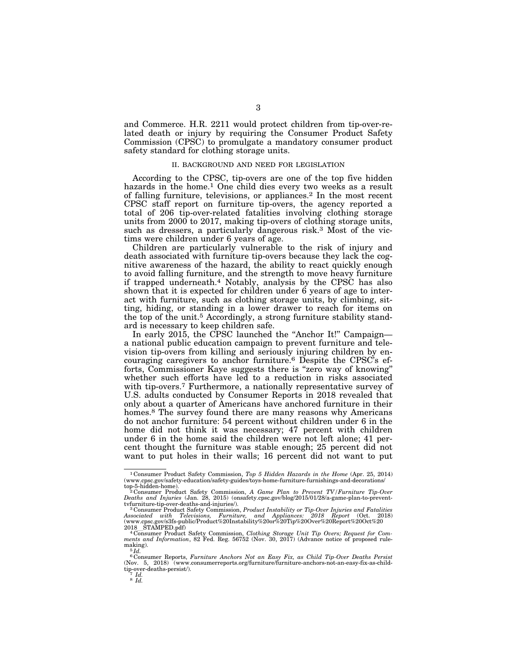and Commerce. H.R. 2211 would protect children from tip-over-related death or injury by requiring the Consumer Product Safety Commission (CPSC) to promulgate a mandatory consumer product safety standard for clothing storage units.

### II. BACKGROUND AND NEED FOR LEGISLATION

According to the CPSC, tip-overs are one of the top five hidden hazards in the home.<sup>1</sup> One child dies every two weeks as a result of falling furniture, televisions, or appliances.2 In the most recent CPSC staff report on furniture tip-overs, the agency reported a total of 206 tip-over-related fatalities involving clothing storage units from 2000 to 2017, making tip-overs of clothing storage units, such as dressers, a particularly dangerous risk.3 Most of the victims were children under 6 years of age.

Children are particularly vulnerable to the risk of injury and death associated with furniture tip-overs because they lack the cognitive awareness of the hazard, the ability to react quickly enough to avoid falling furniture, and the strength to move heavy furniture if trapped underneath.4 Notably, analysis by the CPSC has also shown that it is expected for children under 6 years of age to interact with furniture, such as clothing storage units, by climbing, sitting, hiding, or standing in a lower drawer to reach for items on the top of the unit.5 Accordingly, a strong furniture stability standard is necessary to keep children safe.

In early 2015, the CPSC launched the "Anchor It!" Campaign a national public education campaign to prevent furniture and television tip-overs from killing and seriously injuring children by encouraging caregivers to anchor furniture.6 Despite the CPSC's efforts, Commissioner Kaye suggests there is ''zero way of knowing'' whether such efforts have led to a reduction in risks associated with tip-overs.<sup>7</sup> Furthermore, a nationally representative survey of U.S. adults conducted by Consumer Reports in 2018 revealed that only about a quarter of Americans have anchored furniture in their homes.<sup>8</sup> The survey found there are many reasons why Americans do not anchor furniture: 54 percent without children under 6 in the home did not think it was necessary; 47 percent with children under 6 in the home said the children were not left alone; 41 percent thought the furniture was stable enough; 25 percent did not want to put holes in their walls; 16 percent did not want to put

<sup>1</sup> Consumer Product Safety Commission, *Top 5 Hidden Hazards in the Home* (Apr. 25, 2014) (www.cpsc.gov/safety-education/safety-guides/toys-home-furniture-furnishings-and-decorations/ top-5-hidden-home). 2 Consumer Product Safety Commission, *A Game Plan to Prevent TV/Furniture Tip-Over* 

Deaths and Injuries (Jan. 28, 2015) (onsafety.cpsc.gov/blog/2015/01/28/a-game-plan-to-prevent-<br>tvfurniture-tip-over-deaths-and-injuries/).<br><sup>3</sup> Consumer Product Safety Commission, *Product Instability or Tip-Over Injuries a* 

*Associated with Televisions, Furniture, and Appliances: 2018 Report* (Oct. 2018) (www.cpsc.gov/s3fs-public/Product%20Instability%20or%20Tip%20Over%20Report%20Oct%20

<sup>2018</sup>lSTAMPED.pdf) 4 Consumer Product Safety Commission, *Clothing Storage Unit Tip Overs; Request for Com-ments and Information*, 82 Fed. Reg. 56752 (Nov. 30, 2017) (Advance notice of proposed rulemaking).<br> $5 \overline{Id}$ .

<sup>6</sup> Consumer Reports, *Furniture Anchors Not an Easy Fix, as Child Tip-Over Deaths Persist*  (Nov. 5, 2018) (www.consumerreports.org/furniture/furniture-anchors-not-an-easy-fix-as-childtip-over-deaths-persist/). 7 *Id.* <sup>8</sup> *Id.*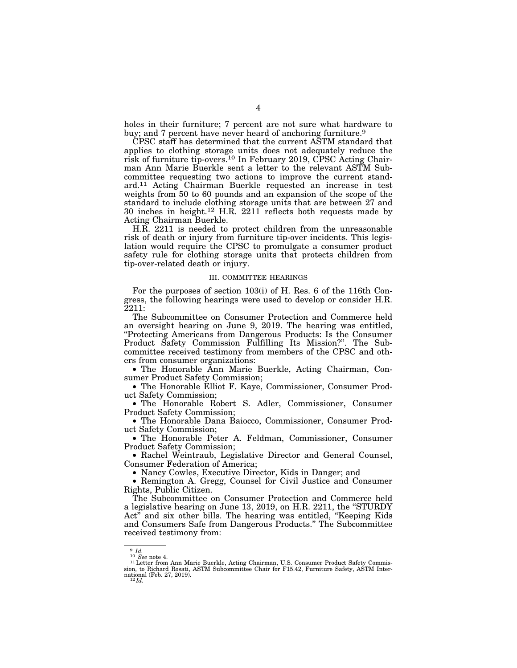holes in their furniture; 7 percent are not sure what hardware to buy; and 7 percent have never heard of anchoring furniture.<sup>9</sup>

CPSC staff has determined that the current ASTM standard that applies to clothing storage units does not adequately reduce the risk of furniture tip-overs.10 In February 2019, CPSC Acting Chairman Ann Marie Buerkle sent a letter to the relevant ASTM Subcommittee requesting two actions to improve the current standard.11 Acting Chairman Buerkle requested an increase in test weights from 50 to 60 pounds and an expansion of the scope of the standard to include clothing storage units that are between 27 and 30 inches in height.12 H.R. 2211 reflects both requests made by Acting Chairman Buerkle.

H.R. 2211 is needed to protect children from the unreasonable risk of death or injury from furniture tip-over incidents. This legislation would require the CPSC to promulgate a consumer product safety rule for clothing storage units that protects children from tip-over-related death or injury.

#### III. COMMITTEE HEARINGS

For the purposes of section 103(i) of H. Res. 6 of the 116th Congress, the following hearings were used to develop or consider H.R. 2211:

The Subcommittee on Consumer Protection and Commerce held an oversight hearing on June 9, 2019. The hearing was entitled, ''Protecting Americans from Dangerous Products: Is the Consumer Product Safety Commission Fulfilling Its Mission?''. The Subcommittee received testimony from members of the CPSC and others from consumer organizations:

• The Honorable Ann Marie Buerkle, Acting Chairman, Consumer Product Safety Commission;

• The Honorable Elliot F. Kaye, Commissioner, Consumer Product Safety Commission;

• The Honorable Robert S. Adler, Commissioner, Consumer Product Safety Commission;

• The Honorable Dana Baiocco, Commissioner, Consumer Product Safety Commission;

• The Honorable Peter A. Feldman, Commissioner, Consumer Product Safety Commission;

• Rachel Weintraub, Legislative Director and General Counsel, Consumer Federation of America;

• Nancy Cowles, Executive Director, Kids in Danger; and

• Remington A. Gregg, Counsel for Civil Justice and Consumer Rights, Public Citizen.

The Subcommittee on Consumer Protection and Commerce held a legislative hearing on June 13, 2019, on H.R. 2211, the ''STURDY Act'' and six other bills. The hearing was entitled, ''Keeping Kids and Consumers Safe from Dangerous Products.'' The Subcommittee received testimony from:

<sup>9</sup> *Id.*<br><sup>10</sup> *See* note 4.<br><sup>11</sup> Letter from Ann Marie Buerkle, Acting Chairman, U.S. Consumer Product Safety Commission, to Richard Rosati, ASTM Subcommittee Chair for F15.42, Furniture Safety, ASTM Inter-national (Feb. 27, 2019). 12 *Id.*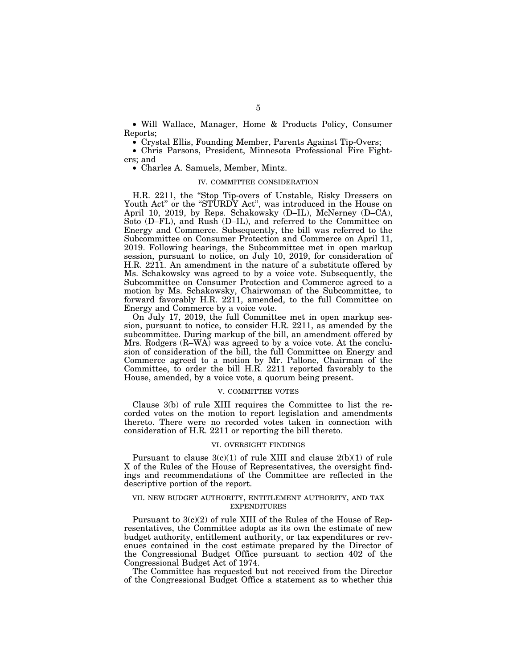• Will Wallace, Manager, Home & Products Policy, Consumer Reports;

• Crystal Ellis, Founding Member, Parents Against Tip-Overs;

• Chris Parsons, President, Minnesota Professional Fire Fighters; and

• Charles A. Samuels, Member, Mintz.

### IV. COMMITTEE CONSIDERATION

H.R. 2211, the "Stop Tip-overs of Unstable, Risky Dressers on Youth Act" or the "STURDY Act", was introduced in the House on April 10, 2019, by Reps. Schakowsky (D–IL), McNerney (D–CA), Soto (D–FL), and Rush (D–IL), and referred to the Committee on Energy and Commerce. Subsequently, the bill was referred to the Subcommittee on Consumer Protection and Commerce on April 11, 2019. Following hearings, the Subcommittee met in open markup session, pursuant to notice, on July 10, 2019, for consideration of H.R. 2211. An amendment in the nature of a substitute offered by Ms. Schakowsky was agreed to by a voice vote. Subsequently, the Subcommittee on Consumer Protection and Commerce agreed to a motion by Ms. Schakowsky, Chairwoman of the Subcommittee, to forward favorably H.R. 2211, amended, to the full Committee on Energy and Commerce by a voice vote.

On July 17, 2019, the full Committee met in open markup session, pursuant to notice, to consider H.R. 2211, as amended by the subcommittee. During markup of the bill, an amendment offered by Mrs. Rodgers (R–WA) was agreed to by a voice vote. At the conclusion of consideration of the bill, the full Committee on Energy and Commerce agreed to a motion by Mr. Pallone, Chairman of the Committee, to order the bill H.R. 2211 reported favorably to the House, amended, by a voice vote, a quorum being present.

#### V. COMMITTEE VOTES

Clause 3(b) of rule XIII requires the Committee to list the recorded votes on the motion to report legislation and amendments thereto. There were no recorded votes taken in connection with consideration of H.R. 2211 or reporting the bill thereto.

#### VI. OVERSIGHT FINDINGS

Pursuant to clause  $3(c)(1)$  of rule XIII and clause  $2(b)(1)$  of rule X of the Rules of the House of Representatives, the oversight findings and recommendations of the Committee are reflected in the descriptive portion of the report.

## VII. NEW BUDGET AUTHORITY, ENTITLEMENT AUTHORITY, AND TAX EXPENDITURES

Pursuant to 3(c)(2) of rule XIII of the Rules of the House of Representatives, the Committee adopts as its own the estimate of new budget authority, entitlement authority, or tax expenditures or revenues contained in the cost estimate prepared by the Director of the Congressional Budget Office pursuant to section 402 of the Congressional Budget Act of 1974.

The Committee has requested but not received from the Director of the Congressional Budget Office a statement as to whether this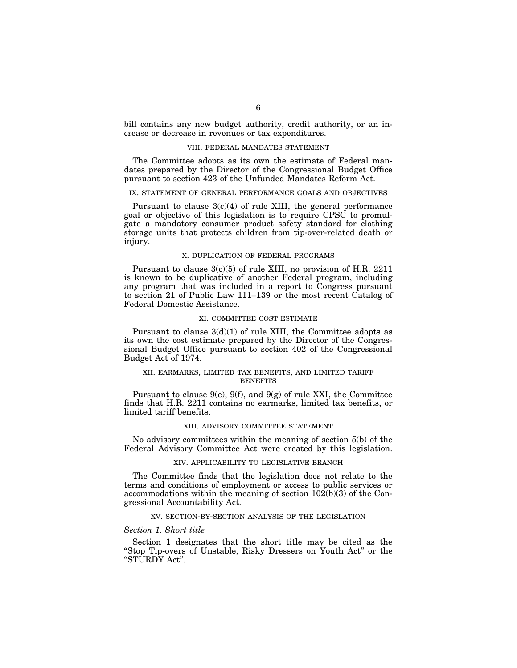bill contains any new budget authority, credit authority, or an increase or decrease in revenues or tax expenditures.

## VIII. FEDERAL MANDATES STATEMENT

The Committee adopts as its own the estimate of Federal mandates prepared by the Director of the Congressional Budget Office pursuant to section 423 of the Unfunded Mandates Reform Act.

## IX. STATEMENT OF GENERAL PERFORMANCE GOALS AND OBJECTIVES

Pursuant to clause  $3(c)(4)$  of rule XIII, the general performance goal or objective of this legislation is to require CPSC to promulgate a mandatory consumer product safety standard for clothing storage units that protects children from tip-over-related death or injury.

## X. DUPLICATION OF FEDERAL PROGRAMS

Pursuant to clause 3(c)(5) of rule XIII, no provision of H.R. 2211 is known to be duplicative of another Federal program, including any program that was included in a report to Congress pursuant to section 21 of Public Law 111–139 or the most recent Catalog of Federal Domestic Assistance.

## XI. COMMITTEE COST ESTIMATE

Pursuant to clause  $3(d)(1)$  of rule XIII, the Committee adopts as its own the cost estimate prepared by the Director of the Congressional Budget Office pursuant to section 402 of the Congressional Budget Act of 1974.

# XII. EARMARKS, LIMITED TAX BENEFITS, AND LIMITED TARIFF **BENEFITS**

Pursuant to clause 9(e), 9(f), and 9(g) of rule XXI, the Committee finds that H.R. 2211 contains no earmarks, limited tax benefits, or limited tariff benefits.

# XIII. ADVISORY COMMITTEE STATEMENT

No advisory committees within the meaning of section 5(b) of the Federal Advisory Committee Act were created by this legislation.

### XIV. APPLICABILITY TO LEGISLATIVE BRANCH

The Committee finds that the legislation does not relate to the terms and conditions of employment or access to public services or accommodations within the meaning of section 102(b)(3) of the Congressional Accountability Act.

## XV. SECTION-BY-SECTION ANALYSIS OF THE LEGISLATION

## *Section 1. Short title*

Section 1 designates that the short title may be cited as the "Stop Tip-overs of Unstable, Risky Dressers on Youth Act" or the ''STURDY Act''.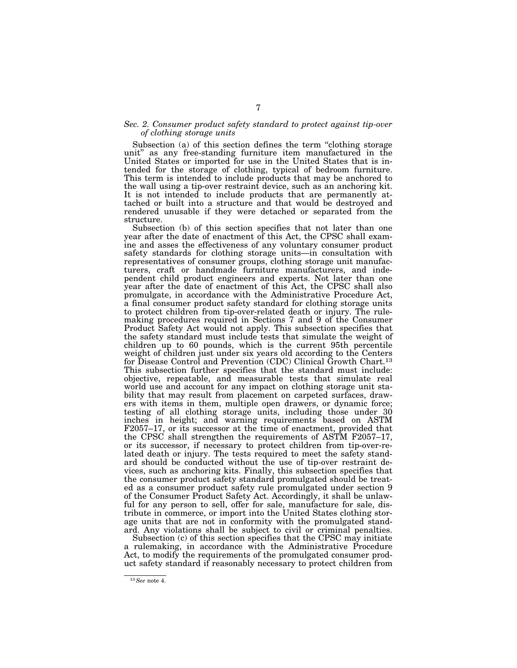## *Sec. 2. Consumer product safety standard to protect against tip-over of clothing storage units*

Subsection (a) of this section defines the term "clothing storage unit'' as any free-standing furniture item manufactured in the United States or imported for use in the United States that is intended for the storage of clothing, typical of bedroom furniture. This term is intended to include products that may be anchored to the wall using a tip-over restraint device, such as an anchoring kit. It is not intended to include products that are permanently attached or built into a structure and that would be destroyed and rendered unusable if they were detached or separated from the structure.

Subsection (b) of this section specifies that not later than one year after the date of enactment of this Act, the CPSC shall examine and asses the effectiveness of any voluntary consumer product safety standards for clothing storage units—in consultation with representatives of consumer groups, clothing storage unit manufacturers, craft or handmade furniture manufacturers, and independent child product engineers and experts. Not later than one year after the date of enactment of this Act, the CPSC shall also promulgate, in accordance with the Administrative Procedure Act, a final consumer product safety standard for clothing storage units to protect children from tip-over-related death or injury. The rulemaking procedures required in Sections 7 and 9 of the Consumer Product Safety Act would not apply. This subsection specifies that the safety standard must include tests that simulate the weight of children up to 60 pounds, which is the current 95th percentile weight of children just under six years old according to the Centers for Disease Control and Prevention (CDC) Clinical Growth Chart.<sup>13</sup> This subsection further specifies that the standard must include: objective, repeatable, and measurable tests that simulate real world use and account for any impact on clothing storage unit stability that may result from placement on carpeted surfaces, drawers with items in them, multiple open drawers, or dynamic force; testing of all clothing storage units, including those under 30 inches in height; and warning requirements based on ASTM F2057–17, or its successor at the time of enactment, provided that the CPSC shall strengthen the requirements of ASTM F2057–17, or its successor, if necessary to protect children from tip-over-related death or injury. The tests required to meet the safety standard should be conducted without the use of tip-over restraint devices, such as anchoring kits. Finally, this subsection specifies that the consumer product safety standard promulgated should be treated as a consumer product safety rule promulgated under section 9 of the Consumer Product Safety Act. Accordingly, it shall be unlawful for any person to sell, offer for sale, manufacture for sale, distribute in commerce, or import into the United States clothing storage units that are not in conformity with the promulgated standard. Any violations shall be subject to civil or criminal penalties.

Subsection (c) of this section specifies that the CPSC may initiate a rulemaking, in accordance with the Administrative Procedure Act, to modify the requirements of the promulgated consumer product safety standard if reasonably necessary to protect children from

<sup>13</sup>*See* note 4.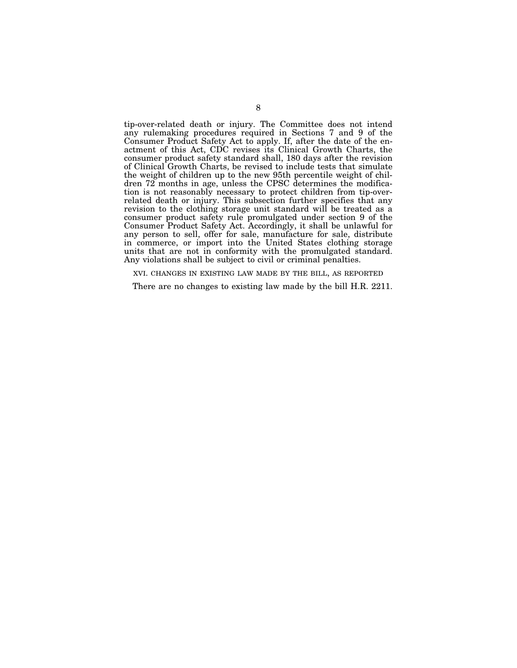tip-over-related death or injury. The Committee does not intend any rulemaking procedures required in Sections 7 and 9 of the Consumer Product Safety Act to apply. If, after the date of the enactment of this Act, CDC revises its Clinical Growth Charts, the consumer product safety standard shall, 180 days after the revision of Clinical Growth Charts, be revised to include tests that simulate the weight of children up to the new 95th percentile weight of children 72 months in age, unless the CPSC determines the modification is not reasonably necessary to protect children from tip-overrelated death or injury. This subsection further specifies that any revision to the clothing storage unit standard will be treated as a consumer product safety rule promulgated under section 9 of the Consumer Product Safety Act. Accordingly, it shall be unlawful for any person to sell, offer for sale, manufacture for sale, distribute in commerce, or import into the United States clothing storage units that are not in conformity with the promulgated standard. Any violations shall be subject to civil or criminal penalties.

XVI. CHANGES IN EXISTING LAW MADE BY THE BILL, AS REPORTED

There are no changes to existing law made by the bill H.R. 2211.